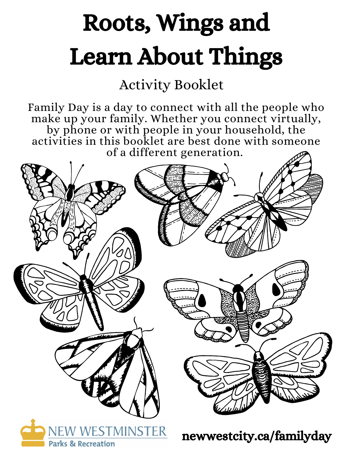# Roots, Wings and Learn About Things

#### Activity Booklet

Family Day is a day to connect with all the people who make up your family. Whether you connect virtually, by phone or with people in your household, the activities in this booklet are best done with someone of a different generation.

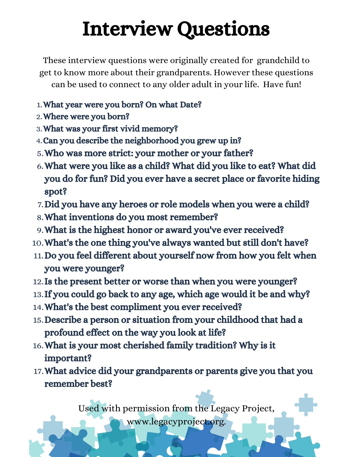### Interview Questions

These interview questions were originally created for grandchild to get to know more about their grandparents. However these questions can be used to connect to any older adult in your life. Have fun!

- What year were you born? On what Date? 1.
- 2. Where were you born?
- What was your first vivid memory? 3.
- Can you describe the neighborhood you grew up in? 4.
- Who was more strict: your mother or your father? 5.
- What were you like as a child? What did you like to eat? What did 6. you do for fun? Did you ever have a secret place or favorite hiding spot?
- 7. Did you have any heroes or role models when you were a child?
- What inventions do you most remember? 8.
- What is the highest honor or award you've ever received? 9.
- What's the one thing you've always wanted but still don't have? 10.
- 11. Do you feel different about yourself now from how you felt when you were younger?
- 12. Is the present better or worse than when you were younger?
- 13. If you could go back to any age, which age would it be and why?
- What's the best compliment you ever received? 14.
- 15. Describe a person or situation from your childhood that had a profound effect on the way you look at life?
- What is your most cherished family tradition? Why is it 16. important?
- What advice did your grandparents or parents give you that you 17. remember best?

Used with permission from the Legacy Project, www.legacyproject.org.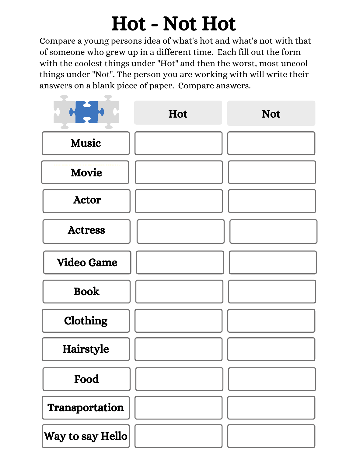#### Hot - Not Hot

Compare a young persons idea of what's hot and what's not with that of someone who grew up in a different time. Each fill out the form with the coolest things under "Hot" and then the worst, most uncool things under "Not". The person you are working with will write their answers on a blank piece of paper. Compare answers.